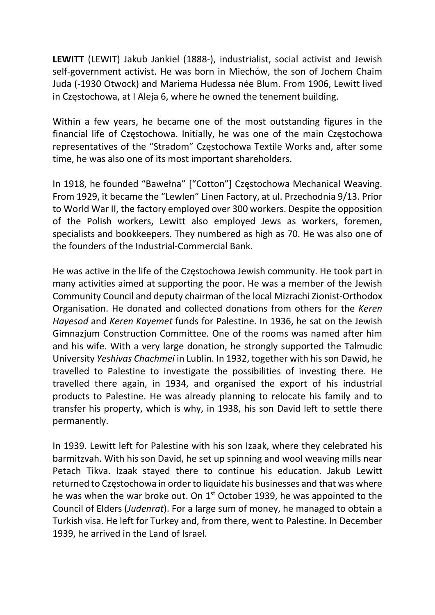LEWITT (LEWIT) Jakub Jankiel (1888-), industrialist, social activist and Jewish self-government activist. He was born in Miechów, the son of Jochem Chaim Juda (-1930 Otwock) and Mariema Hudessa née Blum. From 1906, Lewitt lived in Częstochowa, at I Aleja 6, where he owned the tenement building.

Within a few years, he became one of the most outstanding figures in the financial life of Częstochowa. Initially, he was one of the main Częstochowa representatives of the "Stradom" Częstochowa Textile Works and, after some time, he was also one of its most important shareholders.

In 1918, he founded "Bawełna" ["Cotton"] Częstochowa Mechanical Weaving. From 1929, it became the "Lewlen" Linen Factory, at ul. Przechodnia 9/13. Prior to World War II, the factory employed over 300 workers. Despite the opposition of the Polish workers, Lewitt also employed Jews as workers, foremen, specialists and bookkeepers. They numbered as high as 70. He was also one of the founders of the Industrial-Commercial Bank.

He was active in the life of the Częstochowa Jewish community. He took part in many activities aimed at supporting the poor. He was a member of the Jewish Community Council and deputy chairman of the local Mizrachi Zionist-Orthodox Organisation. He donated and collected donations from others for the Keren Hayesod and Keren Kayemet funds for Palestine. In 1936, he sat on the Jewish Gimnazjum Construction Committee. One of the rooms was named after him and his wife. With a very large donation, he strongly supported the Talmudic University Yeshivas Chachmei in Lublin. In 1932, together with his son Dawid, he travelled to Palestine to investigate the possibilities of investing there. He travelled there again, in 1934, and organised the export of his industrial products to Palestine. He was already planning to relocate his family and to transfer his property, which is why, in 1938, his son David left to settle there permanently.

In 1939. Lewitt left for Palestine with his son Izaak, where they celebrated his barmitzvah. With his son David, he set up spinning and wool weaving mills near Petach Tikva. Izaak stayed there to continue his education. Jakub Lewitt returned to Częstochowa in order to liquidate his businesses and that was where he was when the war broke out. On 1<sup>st</sup> October 1939, he was appointed to the Council of Elders (Judenrat). For a large sum of money, he managed to obtain a Turkish visa. He left for Turkey and, from there, went to Palestine. In December 1939, he arrived in the Land of Israel.